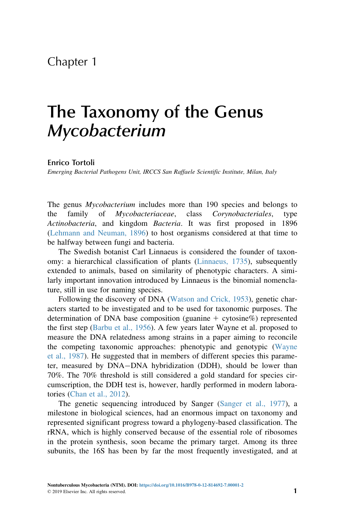# Chapter 1

# The Taxonomy of the Genus Mycobacterium

#### Enrico Tortoli

Emerging Bacterial Pathogens Unit, IRCCS San Raffaele Scientific Institute, Milan, Italy

The genus *Mycobacterium* includes more than 190 species and belongs to the family of Mycobacteriaceae, class Corynobacteriales, type Actinobacteria, and kingdom Bacteria. It was first proposed in 1896 [\(Lehmann and Neuman, 1896](#page-8-0)) to host organisms considered at that time to be halfway between fungi and bacteria.

The Swedish botanist Carl Linnaeus is considered the founder of taxonomy: a hierarchical classification of plants [\(Linnaeus, 1735\)](#page-9-0), subsequently extended to animals, based on similarity of phenotypic characters. A similarly important innovation introduced by Linnaeus is the binomial nomenclature, still in use for naming species.

Following the discovery of DNA [\(Watson and Crick, 1953](#page-9-0)), genetic characters started to be investigated and to be used for taxonomic purposes. The determination of DNA base composition (guanine  $+$  cytosine%) represented the first step ([Barbu et al., 1956](#page-8-0)). A few years later Wayne et al. proposed to measure the DNA relatedness among strains in a paper aiming to reconcile the competing taxonomic approaches: phenotypic and genotypic [\(Wayne](#page-9-0) [et al., 1987\)](#page-9-0). He suggested that in members of different species this parameter, measured by DNA-DNA hybridization (DDH), should be lower than 70%. The 70% threshold is still considered a gold standard for species circumscription, the DDH test is, however, hardly performed in modern laboratories [\(Chan et al., 2012\)](#page-8-0).

The genetic sequencing introduced by Sanger [\(Sanger et al., 1977](#page-9-0)), a milestone in biological sciences, had an enormous impact on taxonomy and represented significant progress toward a phylogeny-based classification. The rRNA, which is highly conserved because of the essential role of ribosomes in the protein synthesis, soon became the primary target. Among its three subunits, the 16S has been by far the most frequently investigated, and at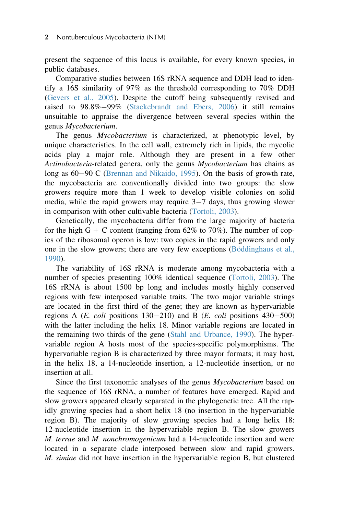present the sequence of this locus is available, for every known species, in public databases.

Comparative studies between 16S rRNA sequence and DDH lead to identify a 16S similarity of 97% as the threshold corresponding to 70% DDH ([Gevers et al., 2005](#page-8-0)). Despite the cutoff being subsequently revised and raised to  $98.8\% - 99\%$  [\(Stackebrandt and Ebers, 2006](#page-9-0)) it still remains unsuitable to appraise the divergence between several species within the genus Mycobacterium.

The genus Mycobacterium is characterized, at phenotypic level, by unique characteristics. In the cell wall, extremely rich in lipids, the mycolic acids play a major role. Although they are present in a few other Actinobacteria-related genera, only the genus Mycobacterium has chains as long as 60-90 C ([Brennan and Nikaido, 1995\)](#page-8-0). On the basis of growth rate, the mycobacteria are conventionally divided into two groups: the slow growers require more than 1 week to develop visible colonies on solid media, while the rapid growers may require  $3-7$  days, thus growing slower in comparison with other cultivable bacteria ([Tortoli, 2003](#page-9-0)).

Genetically, the mycobacteria differ from the large majority of bacteria for the high  $G + C$  content (ranging from 62% to 70%). The number of copies of the ribosomal operon is low: two copies in the rapid growers and only one in the slow growers; there are very few exceptions (Böddinghaus et al., [1990](#page-8-0)).

The variability of 16S rRNA is moderate among mycobacteria with a number of species presenting 100% identical sequence [\(Tortoli, 2003\)](#page-9-0). The 16S rRNA is about 1500 bp long and includes mostly highly conserved regions with few interposed variable traits. The two major variable strings are located in the first third of the gene; they are known as hypervariable regions A ( $E.$  coli positions 130-210) and B ( $E.$  coli positions 430-500) with the latter including the helix 18. Minor variable regions are located in the remaining two thirds of the gene ([Stahl and Urbance, 1990\)](#page-9-0). The hypervariable region A hosts most of the species-specific polymorphisms. The hypervariable region B is characterized by three mayor formats; it may host, in the helix 18, a 14-nucleotide insertion, a 12-nucleotide insertion, or no insertion at all.

Since the first taxonomic analyses of the genus Mycobacterium based on the sequence of 16S rRNA, a number of features have emerged. Rapid and slow growers appeared clearly separated in the phylogenetic tree. All the rapidly growing species had a short helix 18 (no insertion in the hypervariable region B). The majority of slow growing species had a long helix 18: 12-nucleotide insertion in the hypervariable region B. The slow growers M. terrae and M. nonchromogenicum had a 14-nucleotide insertion and were located in a separate clade interposed between slow and rapid growers. M. simiae did not have insertion in the hypervariable region B, but clustered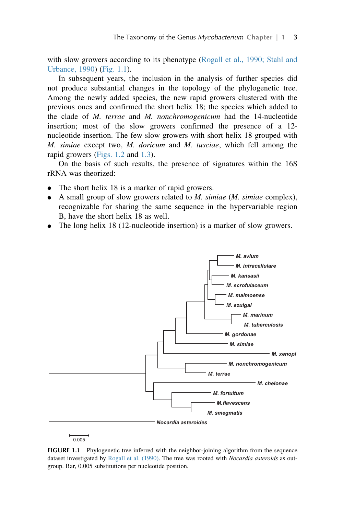with slow growers according to its phenotype ([Rogall et al., 1990; Stahl and](#page-9-0) [Urbance, 1990](#page-9-0)) (Fig. 1.1).

In subsequent years, the inclusion in the analysis of further species did not produce substantial changes in the topology of the phylogenetic tree. Among the newly added species, the new rapid growers clustered with the previous ones and confirmed the short helix 18; the species which added to the clade of M. terrae and M. nonchromogenicum had the 14-nucleotide insertion; most of the slow growers confirmed the presence of a 12 nucleotide insertion. The few slow growers with short helix 18 grouped with M. simiae except two, M. doricum and M. tusciae, which fell among the rapid growers ([Figs. 1.2](#page-3-0) and [1.3\)](#page-4-0).

On the basis of such results, the presence of signatures within the 16S rRNA was theorized:

- The short helix 18 is a marker of rapid growers.
- $\bullet$  A small group of slow growers related to *M. simiae* (*M. simiae* complex), recognizable for sharing the same sequence in the hypervariable region B, have the short helix 18 as well.
- The long helix 18 (12-nucleotide insertion) is a marker of slow growers.



 $\frac{1}{0.005}$ 

FIGURE 1.1 Phylogenetic tree inferred with the neighbor-joining algorithm from the sequence dataset investigated by [Rogall et al. \(1990\).](#page-9-0) The tree was rooted with *Nocardia asteroids* as outgroup. Bar, 0.005 substitutions per nucleotide position.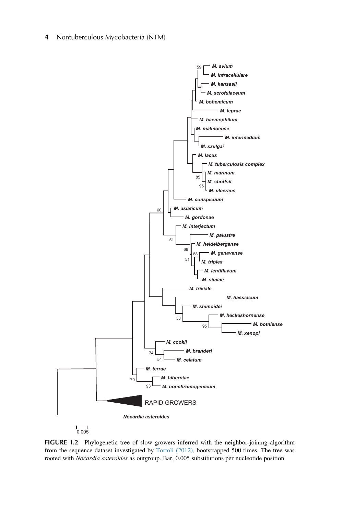<span id="page-3-0"></span>4 Nontuberculous Mycobacteria (NTM)



FIGURE 1.2 Phylogenetic tree of slow growers inferred with the neighbor-joining algorithm from the sequence dataset investigated by [Tortoli \(2012\),](#page-9-0) bootstrapped 500 times. The tree was rooted with Nocardia asteroides as outgroup. Bar, 0.005 substitutions per nucleotide position.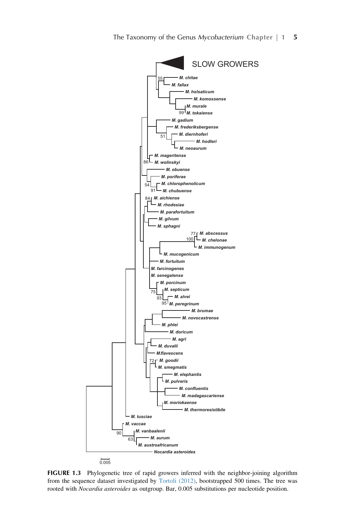<span id="page-4-0"></span>

FIGURE 1.3 Phylogenetic tree of rapid growers inferred with the neighbor-joining algorithm from the sequence dataset investigated by [Tortoli \(2012\)](#page-9-0), bootstrapped 500 times. The tree was rooted with Nocardia asteroides as outgroup. Bar, 0.005 substitutions per nucleotide position.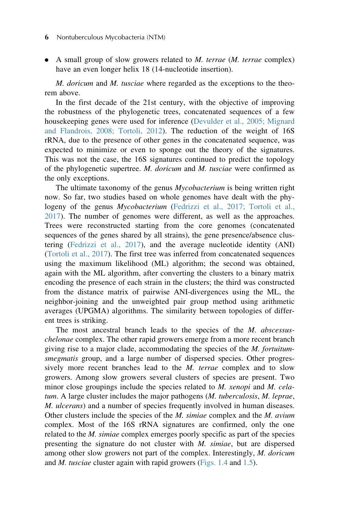### 6 Nontuberculous Mycobacteria (NTM)

• A small group of slow growers related to *M. terrae* (*M. terrae* complex) have an even longer helix 18 (14-nucleotide insertion).

M. doricum and M. tusciae where regarded as the exceptions to the theorem above.

In the first decade of the 21st century, with the objective of improving the robustness of the phylogenetic trees, concatenated sequences of a few housekeeping genes were used for inference ([Devulder et al., 2005; Mignard](#page-8-0) [and Flandrois, 2008; Tortoli, 2012](#page-8-0)). The reduction of the weight of 16S rRNA, due to the presence of other genes in the concatenated sequence, was expected to minimize or even to sponge out the theory of the signatures. This was not the case, the 16S signatures continued to predict the topology of the phylogenetic supertree. M. doricum and M. tusciae were confirmed as the only exceptions.

The ultimate taxonomy of the genus *Mycobacterium* is being written right now. So far, two studies based on whole genomes have dealt with the phy-logeny of the genus Mycobacterium ([Fedrizzi et al., 2017; Tortoli et al.,](#page-8-0) [2017](#page-8-0)). The number of genomes were different, as well as the approaches. Trees were reconstructed starting from the core genomes (concatenated sequences of the genes shared by all strains), the gene presence/absence clustering ([Fedrizzi et al., 2017](#page-8-0)), and the average nucleotide identity (ANI) ([Tortoli et al., 2017\)](#page-9-0). The first tree was inferred from concatenated sequences using the maximum likelihood (ML) algorithm; the second was obtained, again with the ML algorithm, after converting the clusters to a binary matrix encoding the presence of each strain in the clusters; the third was constructed from the distance matrix of pairwise ANI-divergences using the ML, the neighbor-joining and the unweighted pair group method using arithmetic averages (UPGMA) algorithms. The similarity between topologies of different trees is striking.

The most ancestral branch leads to the species of the *M. abscessus*chelonae complex. The other rapid growers emerge from a more recent branch giving rise to a major clade, accommodating the species of the *M. fortuitum*smegmatis group, and a large number of dispersed species. Other progressively more recent branches lead to the *M. terrae* complex and to slow growers. Among slow growers several clusters of species are present. Two minor close groupings include the species related to  $M$ . xenopi and  $M$ . celatum. A large cluster includes the major pathogens (M. tuberculosis, M. leprae, M. ulcerans) and a number of species frequently involved in human diseases. Other clusters include the species of the  $M$ . simiae complex and the  $M$ . avium complex. Most of the 16S rRNA signatures are confirmed, only the one related to the *M. simiae* complex emerges poorly specific as part of the species presenting the signature do not cluster with M. simiae, but are dispersed among other slow growers not part of the complex. Interestingly, M. doricum and  $M$ . tusciae cluster again with rapid growers [\(Figs. 1.4](#page-6-0) and [1.5\)](#page-7-0).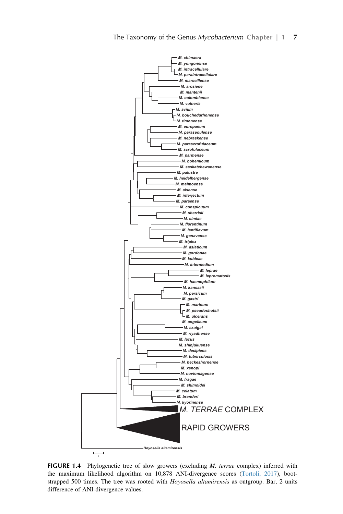<span id="page-6-0"></span>

FIGURE 1.4 Phylogenetic tree of slow growers (excluding *M. terrae* complex) inferred with the maximum likelihood algorithm on 10,878 ANI-divergence scores [\(Tortoli, 2017\)](#page-9-0), bootstrapped 500 times. The tree was rooted with Hoyosella altamirensis as outgroup. Bar, 2 units difference of ANI-divergence values.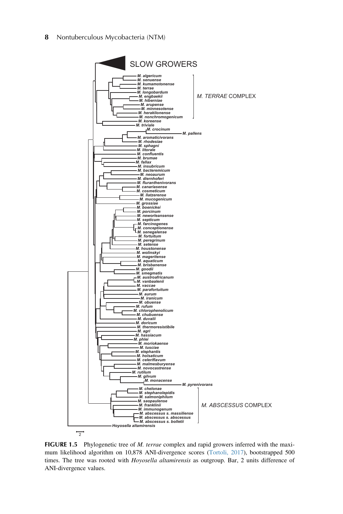<span id="page-7-0"></span>8 Nontuberculous Mycobacteria (NTM)



FIGURE 1.5 Phylogenetic tree of M. terrae complex and rapid growers inferred with the maximum likelihood algorithm on 10,878 ANI-divergence scores [\(Tortoli, 2017\)](#page-9-0), bootstrapped 500 times. The tree was rooted with Hoyosella altamirensis as outgroup. Bar, 2 units difference of ANI-divergence values.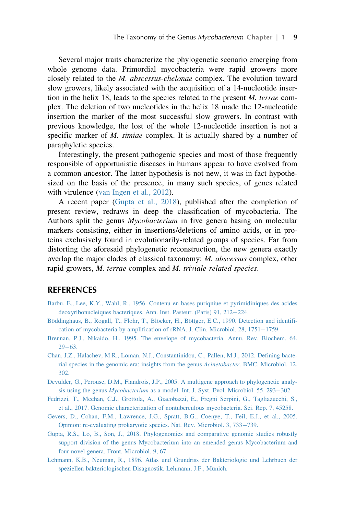<span id="page-8-0"></span>Several major traits characterize the phylogenetic scenario emerging from whole genome data. Primordial mycobacteria were rapid growers more closely related to the M. abscessus-chelonae complex. The evolution toward slow growers, likely associated with the acquisition of a 14-nucleotide insertion in the helix 18, leads to the species related to the present M. terrae complex. The deletion of two nucleotides in the helix 18 made the 12-nucleotide insertion the marker of the most successful slow growers. In contrast with previous knowledge, the lost of the whole 12-nucleotide insertion is not a specific marker of *M. simiae* complex. It is actually shared by a number of paraphyletic species.

Interestingly, the present pathogenic species and most of those frequently responsible of opportunistic diseases in humans appear to have evolved from a common ancestor. The latter hypothesis is not new, it was in fact hypothesized on the basis of the presence, in many such species, of genes related with virulence [\(van Ingen et al., 2012\)](#page-9-0).

A recent paper (Gupta et al., 2018), published after the completion of present review, redraws in deep the classification of mycobacteria. The Authors split the genus Mycobacterium in five genera basing on molecular markers consisting, either in insertions/deletions of amino acids, or in proteins exclusively found in evolutionarily-related groups of species. Far from distorting the aforesaid phylogenetic reconstruction, the new genera exactly overlap the major clades of classical taxonomy: M. abscessus complex, other rapid growers, M. terrae complex and M. triviale-related species.

## REFERENCES

- [Barbu, E., Lee, K.Y., Wahl, R., 1956. Contenu en bases puriqniue et pyrimidiniques des acides](http://refhub.elsevier.com/B978-0-12-814692-7.00001-2/sbref1) [deoxyribonucleiques bacteriques. Ann. Inst. Pasteur. \(Paris\) 91, 212](http://refhub.elsevier.com/B978-0-12-814692-7.00001-2/sbref1)–[224.](http://refhub.elsevier.com/B978-0-12-814692-7.00001-2/sbref1)
- Böddinghaus, B., Rogall, T., Flohr, T., Blöcker, H., Böttger, E.C., 1990. Detection and identifi[cation of mycobacteria by amplification of rRNA. J. Clin. Microbiol. 28, 1751](http://refhub.elsevier.com/B978-0-12-814692-7.00001-2/sbref2)-[1759.](http://refhub.elsevier.com/B978-0-12-814692-7.00001-2/sbref2)
- [Brennan, P.J., Nikaido, H., 1995. The envelope of mycobacteria. Annu. Rev. Biochem. 64,](http://refhub.elsevier.com/B978-0-12-814692-7.00001-2/sbref3)  $29 - 63$  $29 - 63$ .
- [Chan, J.Z., Halachev, M.R., Loman, N.J., Constantinidou, C., Pallen, M.J., 2012. Defining bacte](http://refhub.elsevier.com/B978-0-12-814692-7.00001-2/sbref4)[rial species in the genomic era: insights from the genus](http://refhub.elsevier.com/B978-0-12-814692-7.00001-2/sbref4) Acinetobacter. BMC. Microbiol. 12, [302.](http://refhub.elsevier.com/B978-0-12-814692-7.00001-2/sbref4)
- [Devulder, G., Perouse, D.M., Flandrois, J.P., 2005. A multigene approach to phylogenetic analy](http://refhub.elsevier.com/B978-0-12-814692-7.00001-2/sbref5)sis using the genus  $Mycobacterium$  [as a model. Int. J. Syst. Evol. Microbiol. 55, 293](http://refhub.elsevier.com/B978-0-12-814692-7.00001-2/sbref5)–[302.](http://refhub.elsevier.com/B978-0-12-814692-7.00001-2/sbref5)
- [Fedrizzi, T., Meehan, C.J., Grottola, A., Giacobazzi, E., Fregni Serpini, G., Tagliazucchi, S.,](http://refhub.elsevier.com/B978-0-12-814692-7.00001-2/sbref6) [et al., 2017. Genomic characterization of nontuberculous mycobacteria. Sci. Rep. 7, 45258.](http://refhub.elsevier.com/B978-0-12-814692-7.00001-2/sbref6)
- [Gevers, D., Cohan, F.M., Lawrence, J.G., Spratt, B.G., Coenye, T., Feil, E.J., et al., 2005.](http://refhub.elsevier.com/B978-0-12-814692-7.00001-2/sbref7) [Opinion: re-evaluating prokaryotic species. Nat. Rev. Microbiol. 3, 733](http://refhub.elsevier.com/B978-0-12-814692-7.00001-2/sbref7)-[739.](http://refhub.elsevier.com/B978-0-12-814692-7.00001-2/sbref7)
- [Gupta, R.S., Lo, B., Son, J., 2018. Phylogenomics and comparative genomic studies robustly](http://refhub.elsevier.com/B978-0-12-814692-7.00001-2/sbref9001) [support division of the genus Mycobacterium into an emended genus Mycobacterium and](http://refhub.elsevier.com/B978-0-12-814692-7.00001-2/sbref9001) [four novel genera. Front. Microbiol. 9, 67.](http://refhub.elsevier.com/B978-0-12-814692-7.00001-2/sbref9001)
- [Lehmann, K.B., Neuman, R., 1896. Atlas und Grundriss der Bakteriologie und Lehrbuch der](http://refhub.elsevier.com/B978-0-12-814692-7.00001-2/sbref8) [speziellen bakteriologischen Disagnostik. Lehmann, J.F., Munich.](http://refhub.elsevier.com/B978-0-12-814692-7.00001-2/sbref8)